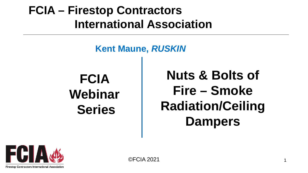## **FCIA - Firestop Contractors International Association**

### **Kent Maune, RUSKIN**

**FCIA** Webinar **Series** 

**Nuts & Bolts of** Fire - Smoke **Radiation/Ceiling Dampers** 

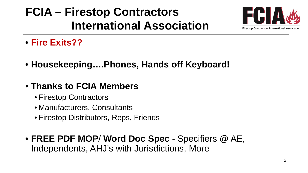# **FCIA – Firestop Contractors International Association**



- **Fire Exits??**
- **Housekeeping….Phones, Hands off Keyboard!**
- **Thanks to FCIA Members**
	- Firestop Contractors
	- Manufacturers, Consultants
	- Firestop Distributors, Reps, Friends
- **FREE PDF MOP**/ **Word Doc Spec**  Specifiers @ AE, Independents, AHJ's with Jurisdictions, More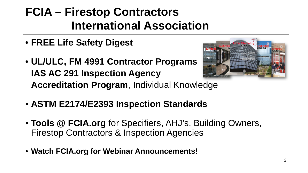# **FCIA – Firestop Contractors International Association**

- **FREE Life Safety Digest**
- **UL/ULC, FM 4991 Contractor Programs IAS AC 291 Inspection Agency Accreditation Program**, Individual Knowledge



- **ASTM E2174/E2393 Inspection Standards**
- **Tools @ FCIA.org** for Specifiers, AHJ's, Building Owners, Firestop Contractors & Inspection Agencies
- **Watch FCIA.org for Webinar Announcements!**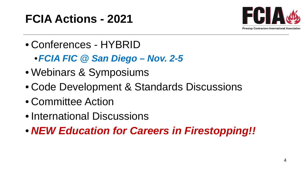# **FCIA Actions - 2021**



- Conferences HYBRID
	- •*FCIA FIC @ San Diego – Nov. 2-5*
- Webinars & Symposiums
- Code Development & Standards Discussions
- Committee Action
- International Discussions
- *NEW Education for Careers in Firestopping!!*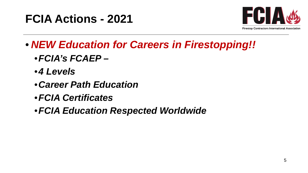



- *NEW Education for Careers in Firestopping!!*
	- •*FCIA's FCAEP –*
	- •*4 Levels*
	- •*Career Path Education*
	- •*FCIA Certificates*
	- •*FCIA Education Respected Worldwide*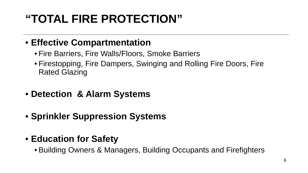# **"TOTAL FIRE PROTECTION"**

#### • **Effective Compartmentation**

- Fire Barriers, Fire Walls/Floors, Smoke Barriers
- Firestopping, Fire Dampers, Swinging and Rolling Fire Doors, Fire Rated Glazing
- **Detection & Alarm Systems**
- **Sprinkler Suppression Systems**
- **Education for Safety**
	- Building Owners & Managers, Building Occupants and Firefighters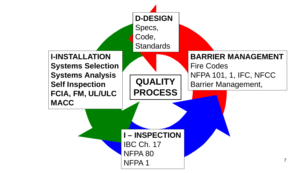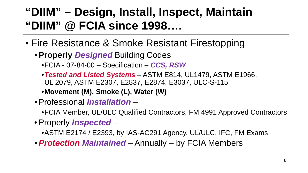### **"DIIM" – Design, Install, Inspect, Maintain "DIIM" @ FCIA since 1998….**

- Fire Resistance & Smoke Resistant Firestopping
	- •**Properly** *Designed* Building Codes
		- •FCIA 07-84-00 Specification *CCS, RSW*
		- •*Tested and Listed Systems* ASTM E814, UL1479, ASTM E1966, UL 2079, ASTM E2307, E2837, E2874, E3037, ULC-S-115
		- •**Movement (M), Smoke (L), Water (W)**
	- •Professional *Installation*
		- •FCIA Member, UL/ULC Qualified Contractors, FM 4991 Approved Contractors
	- •Properly *Inspected*
		- •ASTM E2174 / E2393, by IAS-AC291 Agency, UL/ULC, IFC, FM Exams
	- •*Protection Maintained* Annually by FCIA Members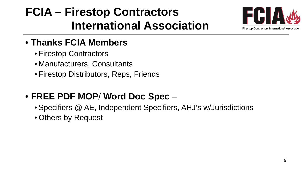# **FCIA – Firestop Contractors International Association**



### • **Thanks FCIA Members**

- Firestop Contractors
- Manufacturers, Consultants
- Firestop Distributors, Reps, Friends

### • **FREE PDF MOP**/ **Word Doc Spec** –

- Specifiers @ AE, Independent Specifiers, AHJ's w/Jurisdictions
- Others by Request